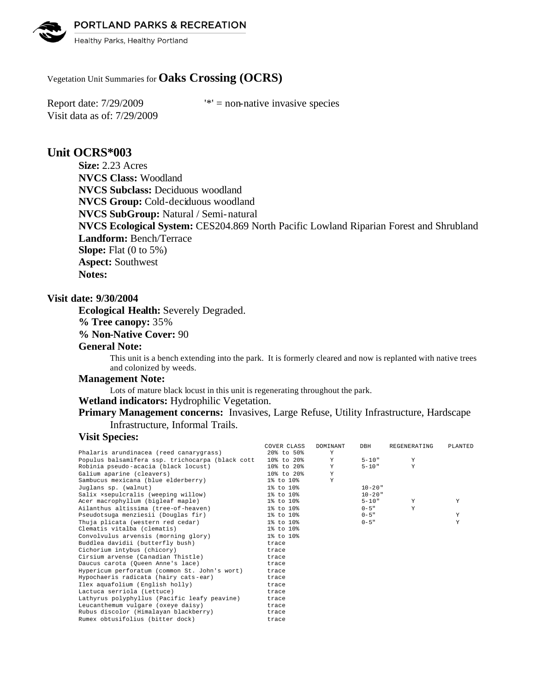PORTLAND PARKS & RECREATION

Healthy Parks, Healthy Portland

# Vegetation Unit Summaries for **Oaks Crossing (OCRS)**

Visit data as of: 7/29/2009

Report date:  $7/29/2009$  '\*' = non-native invasive species

# **Unit OCRS\*003**

**Size:** 2.23 Acres **NVCS Class:** Woodland **NVCS Subclass:** Deciduous woodland **NVCS Group:** Cold-deciduous woodland **NVCS SubGroup:** Natural / Semi-natural **NVCS Ecological System:** CES204.869 North Pacific Lowland Riparian Forest and Shrubland **Landform:** Bench/Terrace **Slope:** Flat (0 to 5%) **Aspect:** Southwest **Notes:** 

### **Visit date: 9/30/2004**

**Ecological Health:** Severely Degraded.

**% Tree canopy:** 35%

**% Non-Native Cover:** 90

## **General Note:**

This unit is a bench extending into the park. It is formerly cleared and now is replanted with native trees and colonized by weeds.

#### **Management Note:**

Lots of mature black locust in this unit is regenerating throughout the park.

### **Wetland indicators:** Hydrophilic Vegetation.

# **Primary Management concerns:** Invasives, Large Refuse, Utility Infrastructure, Hardscape Infrastructure, Informal Trails.

### **Visit Species:**

|                                                  | COVER CLASS    | DOMINANT | DBH         | REGENERATING | PLANTED |
|--------------------------------------------------|----------------|----------|-------------|--------------|---------|
| Phalaris arundinacea (reed canarygrass)          | 20% to 50%     | Y        |             |              |         |
| Populus balsamifera ssp. trichocarpa (black cott | 10% to 20%     | Y        | $5 - 10"$   | Y            |         |
| Robinia pseudo-acacia (black locust)             | 10% to 20%     | Y        | $5 - 10"$   | Y            |         |
| Galium aparine (cleavers)                        | $108$ to $208$ | Y        |             |              |         |
| Sambucus mexicana (blue elderberry)              | 1% to 10%      | Y        |             |              |         |
| Juglans sp. (walnut)                             | 1% to 10%      |          | $10 - 20$ " |              |         |
| Salix xsepulcralis (weeping willow)              | 1% to 10%      |          | $10 - 20$ " |              |         |
| Acer macrophyllum (bigleaf maple)                | 1% to 10%      |          | $5 - 10"$   | Y            | Y       |
| Ailanthus altissima (tree-of-heaven)             | 1% to 10%      |          | $0 - 5$ "   | Y            |         |
| Pseudotsuga menziesii (Douglas fir)              | 1% to 10%      |          | $0 - 5$ "   |              | Y       |
| Thuja plicata (western red cedar)                | 1% to 10%      |          | $0 - 5$ "   |              | Y       |
| Clematis vitalba (clematis)                      | 1% to 10%      |          |             |              |         |
| Convolvulus arvensis (morning glory)             | 1% to 10%      |          |             |              |         |
| Buddlea davidii (butterfly bush)                 | trace          |          |             |              |         |
| Cichorium intybus (chicory)                      | trace          |          |             |              |         |
| Cirsium arvense (Canadian Thistle)               | trace          |          |             |              |         |
| Daucus carota (Queen Anne's lace)                | trace          |          |             |              |         |
| Hypericum perforatum (common St. John's wort)    | trace          |          |             |              |         |
| Hypochaeris radicata (hairy cats-ear)            | trace          |          |             |              |         |
| Ilex aquafolium (English holly)                  | trace          |          |             |              |         |
| Lactuca serriola (Lettuce)                       | trace          |          |             |              |         |
| Lathyrus polyphyllus (Pacific leafy peavine)     | trace          |          |             |              |         |
| Leucanthemum vulgare (oxeye daisy)               | trace          |          |             |              |         |
| Rubus discolor (Himalayan blackberry)            | trace          |          |             |              |         |
| Rumex obtusifolius (bitter dock)                 | trace          |          |             |              |         |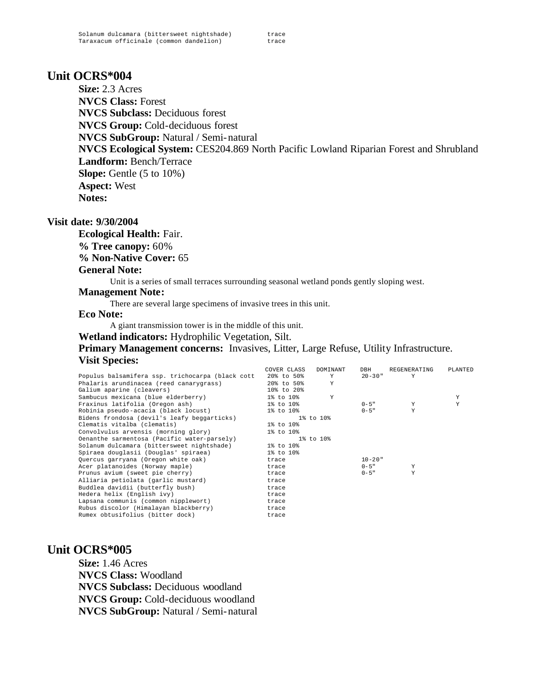# **Unit OCRS\*004**

**Size:** 2.3 Acres **NVCS Class:** Forest **NVCS Subclass:** Deciduous forest **NVCS Group:** Cold-deciduous forest **NVCS SubGroup:** Natural / Semi-natural **NVCS Ecological System:** CES204.869 North Pacific Lowland Riparian Forest and Shrubland **Landform:** Bench/Terrace **Slope:** Gentle (5 to 10%) **Aspect:** West **Notes:** 

## **Visit date: 9/30/2004**

**Ecological Health:** Fair. **% Tree canopy:** 60% **% Non-Native Cover:** 65 **General Note:**

Unit is a series of small terraces surrounding seasonal wetland ponds gently sloping west.

### **Management Note:**

There are several large specimens of invasive trees in this unit.

### **Eco Note:**

A giant transmission tower is in the middle of this unit.

**Wetland indicators:** Hydrophilic Vegetation, Silt.

**Primary Management concerns:** Invasives, Litter, Large Refuse, Utility Infrastructure. **Visit Species:** 

|                                                  | COVER CLASS | DOMINANT  | DBH         | REGENERATING | PLANTED |
|--------------------------------------------------|-------------|-----------|-------------|--------------|---------|
| Populus balsamifera ssp. trichocarpa (black cott | 20% to 50%  | Y         | $20 - 30$ " | Y            |         |
| Phalaris arundinacea (reed canarygrass)          | 20% to 50%  | Y         |             |              |         |
| Galium aparine (cleavers)                        | 10% to 20%  |           |             |              |         |
| Sambucus mexicana (blue elderberry)              | 1% to 10%   | Y         |             |              | Υ       |
| Fraxinus latifolia (Oregon ash)                  | 1% to 10%   |           | $0 - 5$ "   | Y            | Y       |
| Robinia pseudo-acacia (black locust)             | 1% to 10%   |           | $0 - 5$ "   | Y            |         |
| Bidens frondosa (devil's leafy beggarticks)      |             | 1% to 10% |             |              |         |
| Clematis vitalba (clematis)                      | 1% to 10%   |           |             |              |         |
| Convolvulus arvensis (morning glory)             | 1% to 10%   |           |             |              |         |
| Oenanthe sarmentosa (Pacific water-parsely)      |             | 1% to 10% |             |              |         |
| Solanum dulcamara (bittersweet nightshade)       | 1% to 10%   |           |             |              |         |
| Spiraea douglasii (Douglas' spiraea)             | 1% to 10%   |           |             |              |         |
| Quercus garryana (Oregon white oak)              | trace       |           | $10 - 20$ " |              |         |
| Acer platanoides (Norway maple)                  | trace       |           | $0 - 5$ "   | Y            |         |
| Prunus avium (sweet pie cherry)                  | trace       |           | $0 - 5$ "   | Y            |         |
| Alliaria petiolata (garlic mustard)              | trace       |           |             |              |         |
| Buddlea davidii (butterfly bush)                 | trace       |           |             |              |         |
| Hedera helix (English ivy)                       | trace       |           |             |              |         |
| Lapsana communis (common nipplewort)             | trace       |           |             |              |         |
| Rubus discolor (Himalayan blackberry)            | trace       |           |             |              |         |
| Rumex obtusifolius (bitter dock)                 | trace       |           |             |              |         |

# **Unit OCRS\*005**

**Size:** 1.46 Acres **NVCS Class:** Woodland **NVCS Subclass:** Deciduous woodland **NVCS Group:** Cold-deciduous woodland **NVCS SubGroup:** Natural / Semi-natural